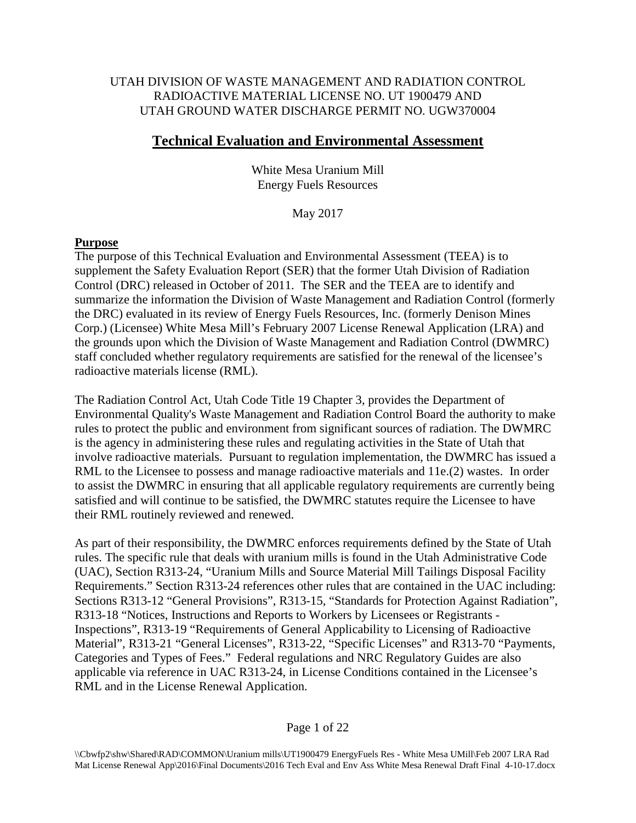# UTAH DIVISION OF WASTE MANAGEMENT AND RADIATION CONTROL RADIOACTIVE MATERIAL LICENSE NO. UT 1900479 AND UTAH GROUND WATER DISCHARGE PERMIT NO. UGW370004

# **Technical Evaluation and Environmental Assessment**

White Mesa Uranium Mill Energy Fuels Resources

May 2017

# **Purpose**

The purpose of this Technical Evaluation and Environmental Assessment (TEEA) is to supplement the Safety Evaluation Report (SER) that the former Utah Division of Radiation Control (DRC) released in October of 2011. The SER and the TEEA are to identify and summarize the information the Division of Waste Management and Radiation Control (formerly the DRC) evaluated in its review of Energy Fuels Resources, Inc. (formerly Denison Mines Corp.) (Licensee) White Mesa Mill's February 2007 License Renewal Application (LRA) and the grounds upon which the Division of Waste Management and Radiation Control (DWMRC) staff concluded whether regulatory requirements are satisfied for the renewal of the licensee's radioactive materials license (RML).

The Radiation Control Act, Utah Code Title 19 Chapter 3, provides the Department of Environmental Quality's Waste Management and Radiation Control Board the authority to make rules to protect the public and environment from significant sources of radiation. The DWMRC is the agency in administering these rules and regulating activities in the State of Utah that involve radioactive materials. Pursuant to regulation implementation, the DWMRC has issued a RML to the Licensee to possess and manage radioactive materials and 11e.(2) wastes. In order to assist the DWMRC in ensuring that all applicable regulatory requirements are currently being satisfied and will continue to be satisfied, the DWMRC statutes require the Licensee to have their RML routinely reviewed and renewed.

As part of their responsibility, the DWMRC enforces requirements defined by the State of Utah rules. The specific rule that deals with uranium mills is found in the Utah Administrative Code (UAC), Section R313-24, "Uranium Mills and Source Material Mill Tailings Disposal Facility Requirements." Section R313-24 references other rules that are contained in the UAC including: Sections R313-12 "General Provisions", R313-15, "Standards for Protection Against Radiation", R313-18 "Notices, Instructions and Reports to Workers by Licensees or Registrants - Inspections", R313-19 "Requirements of General Applicability to Licensing of Radioactive Material", R313-21 "General Licenses", R313-22, "Specific Licenses" and R313-70 "Payments, Categories and Types of Fees." Federal regulations and NRC Regulatory Guides are also applicable via reference in UAC R313-24, in License Conditions contained in the Licensee's RML and in the License Renewal Application.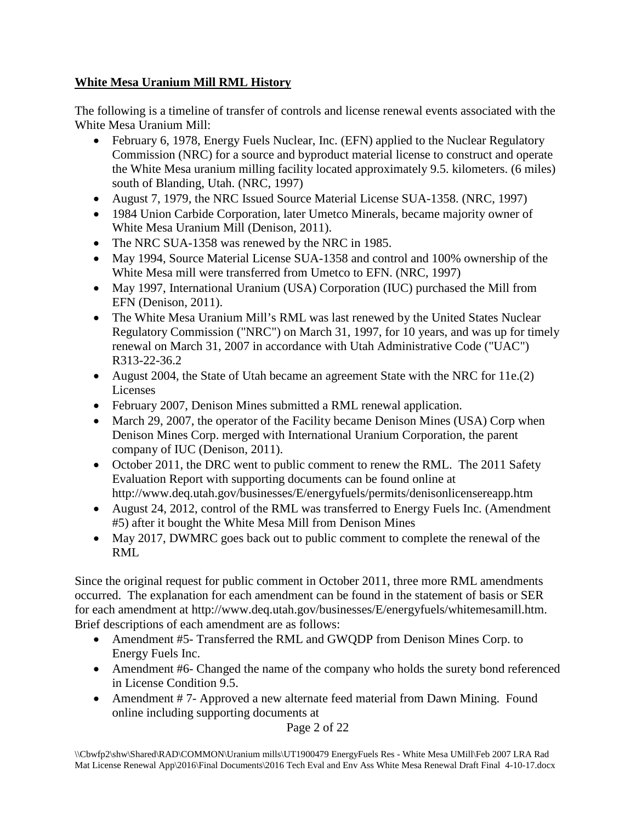# **White Mesa Uranium Mill RML History**

The following is a timeline of transfer of controls and license renewal events associated with the White Mesa Uranium Mill:

- February 6, 1978, Energy Fuels Nuclear, Inc. (EFN) applied to the Nuclear Regulatory Commission (NRC) for a source and byproduct material license to construct and operate the White Mesa uranium milling facility located approximately 9.5. kilometers. (6 miles) south of Blanding, Utah. (NRC, 1997)
- August 7, 1979, the NRC Issued Source Material License SUA-1358. (NRC, 1997)
- 1984 Union Carbide Corporation, later Umetco Minerals, became majority owner of White Mesa Uranium Mill (Denison, 2011).
- The NRC SUA-1358 was renewed by the NRC in 1985.
- May 1994, Source Material License SUA-1358 and control and 100% ownership of the White Mesa mill were transferred from Umetco to EFN. (NRC, 1997)
- May 1997, International Uranium (USA) Corporation (IUC) purchased the Mill from EFN (Denison, 2011).
- The White Mesa Uranium Mill's RML was last renewed by the United States Nuclear Regulatory Commission ("NRC") on March 31, 1997, for 10 years, and was up for timely renewal on March 31, 2007 in accordance with Utah Administrative Code ("UAC") R313-22-36.2
- August 2004, the State of Utah became an agreement State with the NRC for 11e.(2) Licenses
- February 2007, Denison Mines submitted a RML renewal application.
- March 29, 2007, the operator of the Facility became Denison Mines (USA) Corp when Denison Mines Corp. merged with International Uranium Corporation, the parent company of IUC (Denison, 2011).
- October 2011, the DRC went to public comment to renew the RML. The 2011 Safety Evaluation Report with supporting documents can be found online at http://www.deq.utah.gov/businesses/E/energyfuels/permits/denisonlicensereapp.htm
- August 24, 2012, control of the RML was transferred to Energy Fuels Inc. (Amendment #5) after it bought the White Mesa Mill from Denison Mines
- May 2017, DWMRC goes back out to public comment to complete the renewal of the RML

Since the original request for public comment in October 2011, three more RML amendments occurred. The explanation for each amendment can be found in the statement of basis or SER for each amendment at http://www.deq.utah.gov/businesses/E/energyfuels/whitemesamill.htm. Brief descriptions of each amendment are as follows:

- Amendment #5- Transferred the RML and GWQDP from Denison Mines Corp. to Energy Fuels Inc.
- Amendment #6- Changed the name of the company who holds the surety bond referenced in License Condition 9.5.
- Amendment #7- Approved a new alternate feed material from Dawn Mining. Found online including supporting documents at

Page 2 of 22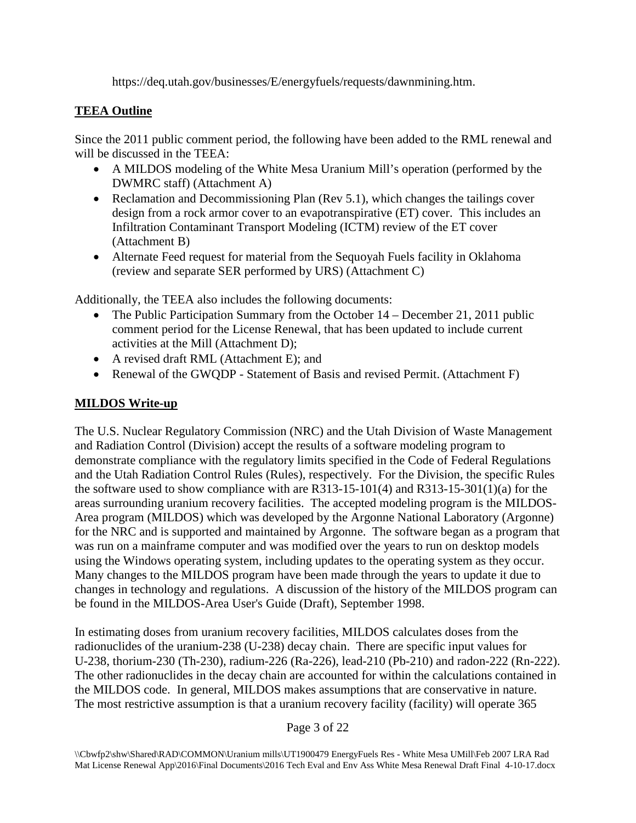https://deq.utah.gov/businesses/E/energyfuels/requests/dawnmining.htm.

# **TEEA Outline**

Since the 2011 public comment period, the following have been added to the RML renewal and will be discussed in the TEEA:

- A MILDOS modeling of the White Mesa Uranium Mill's operation (performed by the DWMRC staff) (Attachment A)
- Reclamation and Decommissioning Plan (Rev 5.1), which changes the tailings cover design from a rock armor cover to an evapotranspirative (ET) cover. This includes an Infiltration Contaminant Transport Modeling (ICTM) review of the ET cover (Attachment B)
- Alternate Feed request for material from the Sequoyah Fuels facility in Oklahoma (review and separate SER performed by URS) (Attachment C)

Additionally, the TEEA also includes the following documents:

- The Public Participation Summary from the October 14 December 21, 2011 public comment period for the License Renewal, that has been updated to include current activities at the Mill (Attachment D);
- A revised draft RML (Attachment E); and
- Renewal of the GWQDP Statement of Basis and revised Permit. (Attachment F)

# **MILDOS Write-up**

The U.S. Nuclear Regulatory Commission (NRC) and the Utah Division of Waste Management and Radiation Control (Division) accept the results of a software modeling program to demonstrate compliance with the regulatory limits specified in the Code of Federal Regulations and the Utah Radiation Control Rules (Rules), respectively. For the Division, the specific Rules the software used to show compliance with are R313-15-101(4) and R313-15-301(1)(a) for the areas surrounding uranium recovery facilities. The accepted modeling program is the MILDOS-Area program (MILDOS) which was developed by the Argonne National Laboratory (Argonne) for the NRC and is supported and maintained by Argonne. The software began as a program that was run on a mainframe computer and was modified over the years to run on desktop models using the Windows operating system, including updates to the operating system as they occur. Many changes to the MILDOS program have been made through the years to update it due to changes in technology and regulations. A discussion of the history of the MILDOS program can be found in the MILDOS-Area User's Guide (Draft), September 1998.

In estimating doses from uranium recovery facilities, MILDOS calculates doses from the radionuclides of the uranium-238 (U-238) decay chain. There are specific input values for U-238, thorium-230 (Th-230), radium-226 (Ra-226), lead-210 (Pb-210) and radon-222 (Rn-222). The other radionuclides in the decay chain are accounted for within the calculations contained in the MILDOS code. In general, MILDOS makes assumptions that are conservative in nature. The most restrictive assumption is that a uranium recovery facility (facility) will operate 365

### Page 3 of 22

<sup>\\</sup>Cbwfp2\shw\Shared\RAD\COMMON\Uranium mills\UT1900479 EnergyFuels Res - White Mesa UMill\Feb 2007 LRA Rad Mat License Renewal App\2016\Final Documents\2016 Tech Eval and Env Ass White Mesa Renewal Draft Final 4-10-17.docx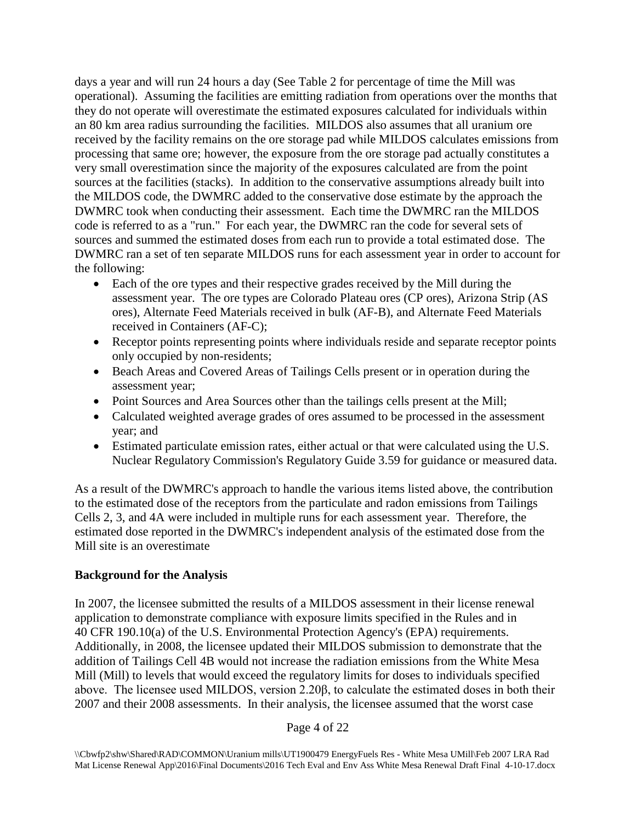days a year and will run 24 hours a day (See Table 2 for percentage of time the Mill was operational). Assuming the facilities are emitting radiation from operations over the months that they do not operate will overestimate the estimated exposures calculated for individuals within an 80 km area radius surrounding the facilities. MILDOS also assumes that all uranium ore received by the facility remains on the ore storage pad while MILDOS calculates emissions from processing that same ore; however, the exposure from the ore storage pad actually constitutes a very small overestimation since the majority of the exposures calculated are from the point sources at the facilities (stacks). In addition to the conservative assumptions already built into the MILDOS code, the DWMRC added to the conservative dose estimate by the approach the DWMRC took when conducting their assessment. Each time the DWMRC ran the MILDOS code is referred to as a "run." For each year, the DWMRC ran the code for several sets of sources and summed the estimated doses from each run to provide a total estimated dose. The DWMRC ran a set of ten separate MILDOS runs for each assessment year in order to account for the following:

- Each of the ore types and their respective grades received by the Mill during the assessment year. The ore types are Colorado Plateau ores (CP ores), Arizona Strip (AS ores), Alternate Feed Materials received in bulk (AF-B), and Alternate Feed Materials received in Containers (AF-C);
- Receptor points representing points where individuals reside and separate receptor points only occupied by non-residents;
- Beach Areas and Covered Areas of Tailings Cells present or in operation during the assessment year;
- Point Sources and Area Sources other than the tailings cells present at the Mill;
- Calculated weighted average grades of ores assumed to be processed in the assessment year; and
- Estimated particulate emission rates, either actual or that were calculated using the U.S. Nuclear Regulatory Commission's Regulatory Guide 3.59 for guidance or measured data.

As a result of the DWMRC's approach to handle the various items listed above, the contribution to the estimated dose of the receptors from the particulate and radon emissions from Tailings Cells 2, 3, and 4A were included in multiple runs for each assessment year. Therefore, the estimated dose reported in the DWMRC's independent analysis of the estimated dose from the Mill site is an overestimate

# **Background for the Analysis**

In 2007, the licensee submitted the results of a MILDOS assessment in their license renewal application to demonstrate compliance with exposure limits specified in the Rules and in 40 CFR 190.10(a) of the U.S. Environmental Protection Agency's (EPA) requirements. Additionally, in 2008, the licensee updated their MILDOS submission to demonstrate that the addition of Tailings Cell 4B would not increase the radiation emissions from the White Mesa Mill (Mill) to levels that would exceed the regulatory limits for doses to individuals specified above. The licensee used MILDOS, version 2.20β, to calculate the estimated doses in both their 2007 and their 2008 assessments. In their analysis, the licensee assumed that the worst case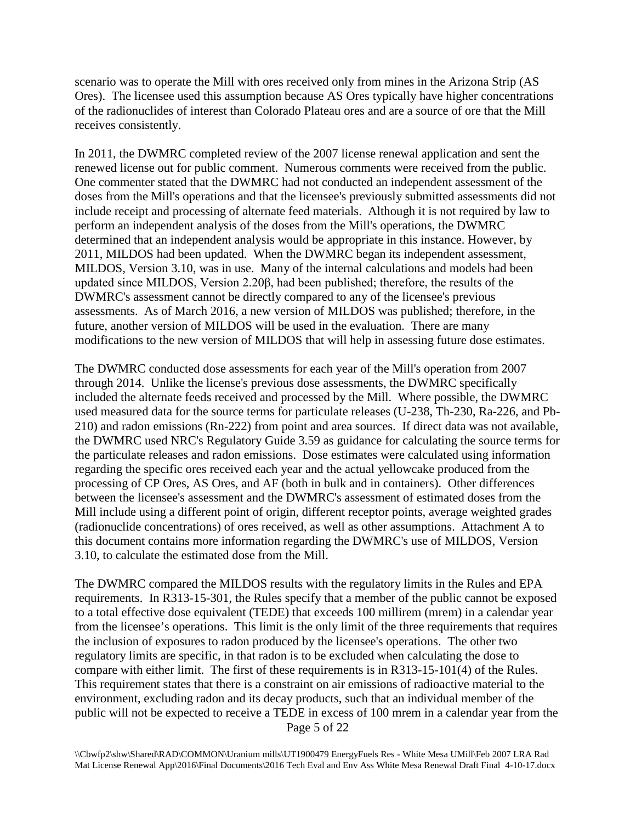scenario was to operate the Mill with ores received only from mines in the Arizona Strip (AS Ores). The licensee used this assumption because AS Ores typically have higher concentrations of the radionuclides of interest than Colorado Plateau ores and are a source of ore that the Mill receives consistently.

In 2011, the DWMRC completed review of the 2007 license renewal application and sent the renewed license out for public comment. Numerous comments were received from the public. One commenter stated that the DWMRC had not conducted an independent assessment of the doses from the Mill's operations and that the licensee's previously submitted assessments did not include receipt and processing of alternate feed materials. Although it is not required by law to perform an independent analysis of the doses from the Mill's operations, the DWMRC determined that an independent analysis would be appropriate in this instance. However, by 2011, MILDOS had been updated. When the DWMRC began its independent assessment, MILDOS, Version 3.10, was in use. Many of the internal calculations and models had been updated since MILDOS, Version 2.20β, had been published; therefore, the results of the DWMRC's assessment cannot be directly compared to any of the licensee's previous assessments. As of March 2016, a new version of MILDOS was published; therefore, in the future, another version of MILDOS will be used in the evaluation. There are many modifications to the new version of MILDOS that will help in assessing future dose estimates.

The DWMRC conducted dose assessments for each year of the Mill's operation from 2007 through 2014. Unlike the license's previous dose assessments, the DWMRC specifically included the alternate feeds received and processed by the Mill. Where possible, the DWMRC used measured data for the source terms for particulate releases (U-238, Th-230, Ra-226, and Pb-210) and radon emissions (Rn-222) from point and area sources. If direct data was not available, the DWMRC used NRC's Regulatory Guide 3.59 as guidance for calculating the source terms for the particulate releases and radon emissions. Dose estimates were calculated using information regarding the specific ores received each year and the actual yellowcake produced from the processing of CP Ores, AS Ores, and AF (both in bulk and in containers). Other differences between the licensee's assessment and the DWMRC's assessment of estimated doses from the Mill include using a different point of origin, different receptor points, average weighted grades (radionuclide concentrations) of ores received, as well as other assumptions. Attachment A to this document contains more information regarding the DWMRC's use of MILDOS, Version 3.10, to calculate the estimated dose from the Mill.

Page 5 of 22 The DWMRC compared the MILDOS results with the regulatory limits in the Rules and EPA requirements. In R313-15-301, the Rules specify that a member of the public cannot be exposed to a total effective dose equivalent (TEDE) that exceeds 100 millirem (mrem) in a calendar year from the licensee's operations. This limit is the only limit of the three requirements that requires the inclusion of exposures to radon produced by the licensee's operations. The other two regulatory limits are specific, in that radon is to be excluded when calculating the dose to compare with either limit. The first of these requirements is in R313-15-101(4) of the Rules. This requirement states that there is a constraint on air emissions of radioactive material to the environment, excluding radon and its decay products, such that an individual member of the public will not be expected to receive a TEDE in excess of 100 mrem in a calendar year from the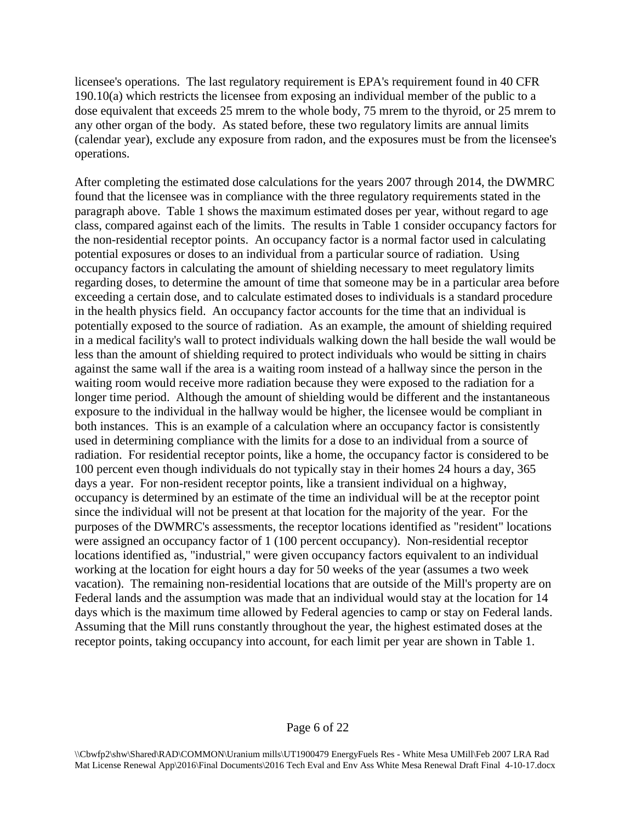licensee's operations. The last regulatory requirement is EPA's requirement found in 40 CFR 190.10(a) which restricts the licensee from exposing an individual member of the public to a dose equivalent that exceeds 25 mrem to the whole body, 75 mrem to the thyroid, or 25 mrem to any other organ of the body. As stated before, these two regulatory limits are annual limits (calendar year), exclude any exposure from radon, and the exposures must be from the licensee's operations.

After completing the estimated dose calculations for the years 2007 through 2014, the DWMRC found that the licensee was in compliance with the three regulatory requirements stated in the paragraph above. Table 1 shows the maximum estimated doses per year, without regard to age class, compared against each of the limits. The results in Table 1 consider occupancy factors for the non-residential receptor points. An occupancy factor is a normal factor used in calculating potential exposures or doses to an individual from a particular source of radiation. Using occupancy factors in calculating the amount of shielding necessary to meet regulatory limits regarding doses, to determine the amount of time that someone may be in a particular area before exceeding a certain dose, and to calculate estimated doses to individuals is a standard procedure in the health physics field. An occupancy factor accounts for the time that an individual is potentially exposed to the source of radiation. As an example, the amount of shielding required in a medical facility's wall to protect individuals walking down the hall beside the wall would be less than the amount of shielding required to protect individuals who would be sitting in chairs against the same wall if the area is a waiting room instead of a hallway since the person in the waiting room would receive more radiation because they were exposed to the radiation for a longer time period. Although the amount of shielding would be different and the instantaneous exposure to the individual in the hallway would be higher, the licensee would be compliant in both instances. This is an example of a calculation where an occupancy factor is consistently used in determining compliance with the limits for a dose to an individual from a source of radiation. For residential receptor points, like a home, the occupancy factor is considered to be 100 percent even though individuals do not typically stay in their homes 24 hours a day, 365 days a year. For non-resident receptor points, like a transient individual on a highway, occupancy is determined by an estimate of the time an individual will be at the receptor point since the individual will not be present at that location for the majority of the year. For the purposes of the DWMRC's assessments, the receptor locations identified as "resident" locations were assigned an occupancy factor of 1 (100 percent occupancy). Non-residential receptor locations identified as, "industrial," were given occupancy factors equivalent to an individual working at the location for eight hours a day for 50 weeks of the year (assumes a two week vacation). The remaining non-residential locations that are outside of the Mill's property are on Federal lands and the assumption was made that an individual would stay at the location for 14 days which is the maximum time allowed by Federal agencies to camp or stay on Federal lands. Assuming that the Mill runs constantly throughout the year, the highest estimated doses at the receptor points, taking occupancy into account, for each limit per year are shown in Table 1.

#### Page 6 of 22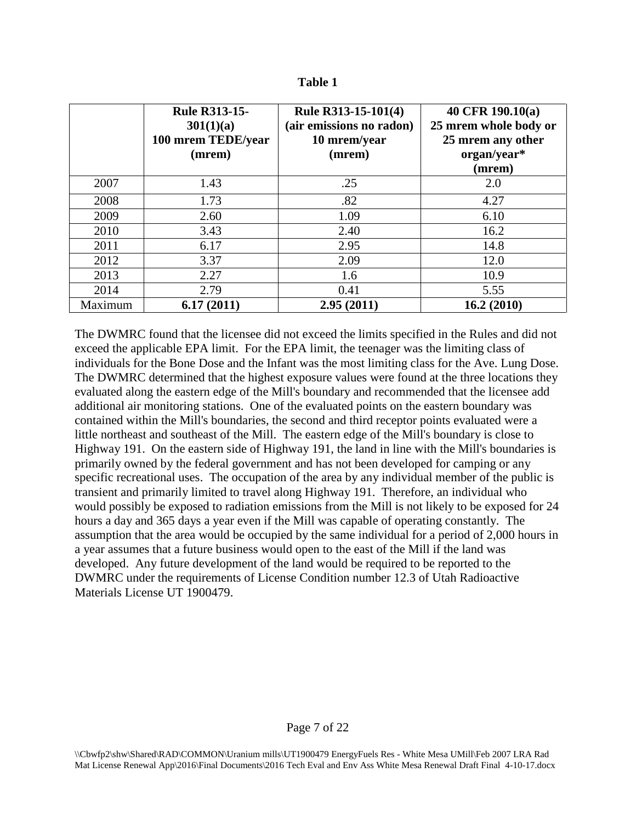| anıe |  |
|------|--|
|------|--|

|         | <b>Rule R313-15-</b><br>301(1)(a)<br>100 mrem TEDE/year<br>(mrem) | Rule R313-15-101(4)<br>(air emissions no radon)<br>10 mrem/year<br>(mrem) | 40 CFR 190.10(a)<br>25 mrem whole body or<br>25 mrem any other<br>organ/year*<br>(mrem) |
|---------|-------------------------------------------------------------------|---------------------------------------------------------------------------|-----------------------------------------------------------------------------------------|
| 2007    | 1.43                                                              | .25                                                                       | 2.0                                                                                     |
| 2008    | 1.73                                                              | .82                                                                       | 4.27                                                                                    |
| 2009    | 2.60                                                              | 1.09                                                                      | 6.10                                                                                    |
| 2010    | 3.43                                                              | 2.40                                                                      | 16.2                                                                                    |
| 2011    | 6.17                                                              | 2.95                                                                      | 14.8                                                                                    |
| 2012    | 3.37                                                              | 2.09                                                                      | 12.0                                                                                    |
| 2013    | 2.27                                                              | 1.6                                                                       | 10.9                                                                                    |
| 2014    | 2.79                                                              | 0.41                                                                      | 5.55                                                                                    |
| Maximum | 6.17(2011)                                                        | 2.95(2011)                                                                | 16.2(2010)                                                                              |

The DWMRC found that the licensee did not exceed the limits specified in the Rules and did not exceed the applicable EPA limit. For the EPA limit, the teenager was the limiting class of individuals for the Bone Dose and the Infant was the most limiting class for the Ave. Lung Dose. The DWMRC determined that the highest exposure values were found at the three locations they evaluated along the eastern edge of the Mill's boundary and recommended that the licensee add additional air monitoring stations. One of the evaluated points on the eastern boundary was contained within the Mill's boundaries, the second and third receptor points evaluated were a little northeast and southeast of the Mill. The eastern edge of the Mill's boundary is close to Highway 191. On the eastern side of Highway 191, the land in line with the Mill's boundaries is primarily owned by the federal government and has not been developed for camping or any specific recreational uses. The occupation of the area by any individual member of the public is transient and primarily limited to travel along Highway 191. Therefore, an individual who would possibly be exposed to radiation emissions from the Mill is not likely to be exposed for 24 hours a day and 365 days a year even if the Mill was capable of operating constantly. The assumption that the area would be occupied by the same individual for a period of 2,000 hours in a year assumes that a future business would open to the east of the Mill if the land was developed. Any future development of the land would be required to be reported to the DWMRC under the requirements of License Condition number 12.3 of Utah Radioactive Materials License UT 1900479.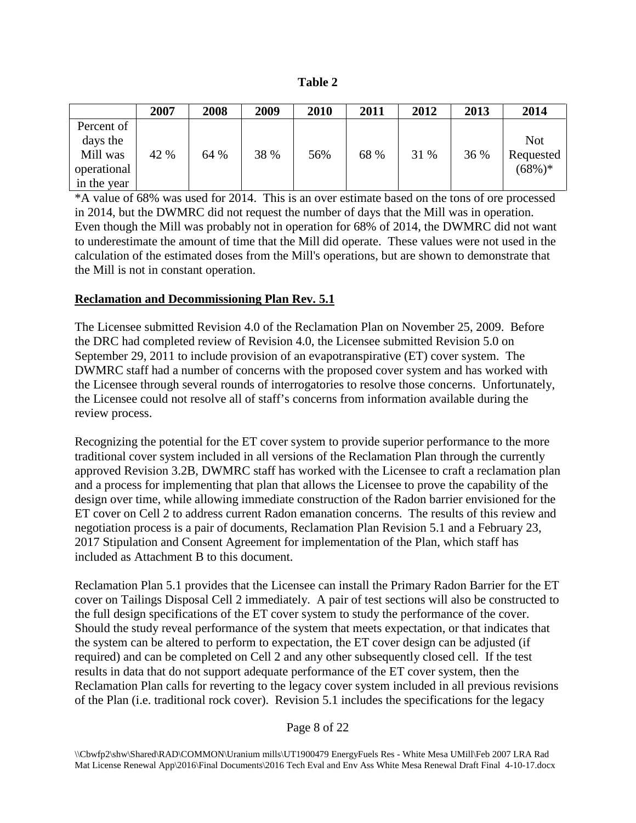| mio<br>v<br>н |  |
|---------------|--|
|---------------|--|

|                                    | 2007 | 2008 | 2009 | 2010 | 2011 | 2012 | 2013 | 2014                   |
|------------------------------------|------|------|------|------|------|------|------|------------------------|
| Percent of<br>days the<br>Mill was | 42 % | 64 % | 38 % | 56%  | 68 % | 31 % | 36 % | <b>Not</b>             |
| operational<br>in the year         |      |      |      |      |      |      |      | Requested<br>$(68\%)*$ |

\*A value of 68% was used for 2014. This is an over estimate based on the tons of ore processed in 2014, but the DWMRC did not request the number of days that the Mill was in operation. Even though the Mill was probably not in operation for 68% of 2014, the DWMRC did not want to underestimate the amount of time that the Mill did operate. These values were not used in the calculation of the estimated doses from the Mill's operations, but are shown to demonstrate that the Mill is not in constant operation.

### **Reclamation and Decommissioning Plan Rev. 5.1**

The Licensee submitted Revision 4.0 of the Reclamation Plan on November 25, 2009. Before the DRC had completed review of Revision 4.0, the Licensee submitted Revision 5.0 on September 29, 2011 to include provision of an evapotranspirative (ET) cover system. The DWMRC staff had a number of concerns with the proposed cover system and has worked with the Licensee through several rounds of interrogatories to resolve those concerns. Unfortunately, the Licensee could not resolve all of staff's concerns from information available during the review process.

Recognizing the potential for the ET cover system to provide superior performance to the more traditional cover system included in all versions of the Reclamation Plan through the currently approved Revision 3.2B, DWMRC staff has worked with the Licensee to craft a reclamation plan and a process for implementing that plan that allows the Licensee to prove the capability of the design over time, while allowing immediate construction of the Radon barrier envisioned for the ET cover on Cell 2 to address current Radon emanation concerns. The results of this review and negotiation process is a pair of documents, Reclamation Plan Revision 5.1 and a February 23, 2017 Stipulation and Consent Agreement for implementation of the Plan, which staff has included as Attachment B to this document.

Reclamation Plan 5.1 provides that the Licensee can install the Primary Radon Barrier for the ET cover on Tailings Disposal Cell 2 immediately. A pair of test sections will also be constructed to the full design specifications of the ET cover system to study the performance of the cover. Should the study reveal performance of the system that meets expectation, or that indicates that the system can be altered to perform to expectation, the ET cover design can be adjusted (if required) and can be completed on Cell 2 and any other subsequently closed cell. If the test results in data that do not support adequate performance of the ET cover system, then the Reclamation Plan calls for reverting to the legacy cover system included in all previous revisions of the Plan (i.e. traditional rock cover). Revision 5.1 includes the specifications for the legacy

<sup>\\</sup>Cbwfp2\shw\Shared\RAD\COMMON\Uranium mills\UT1900479 EnergyFuels Res - White Mesa UMill\Feb 2007 LRA Rad Mat License Renewal App\2016\Final Documents\2016 Tech Eval and Env Ass White Mesa Renewal Draft Final 4-10-17.docx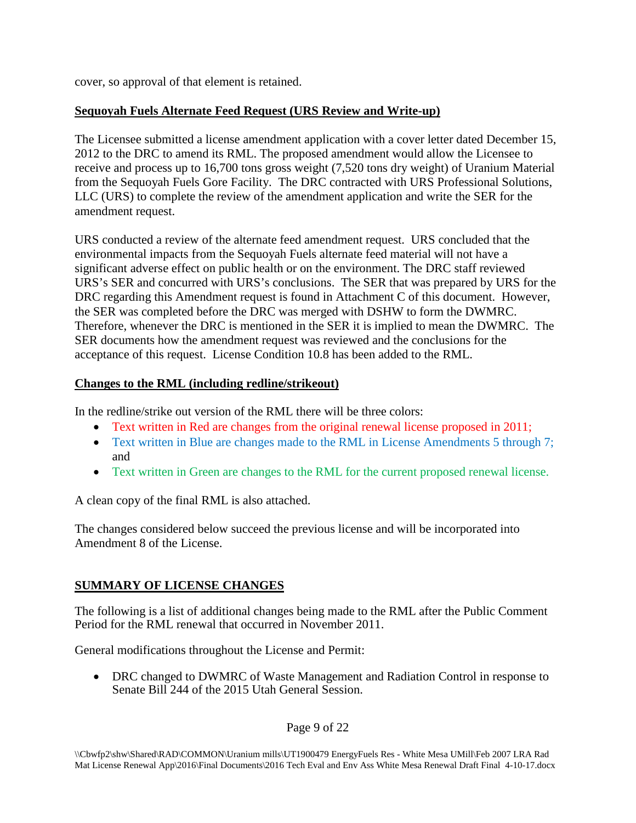cover, so approval of that element is retained.

# **Sequoyah Fuels Alternate Feed Request (URS Review and Write-up)**

The Licensee submitted a license amendment application with a cover letter dated December 15, 2012 to the DRC to amend its RML. The proposed amendment would allow the Licensee to receive and process up to 16,700 tons gross weight (7,520 tons dry weight) of Uranium Material from the Sequoyah Fuels Gore Facility. The DRC contracted with URS Professional Solutions, LLC (URS) to complete the review of the amendment application and write the SER for the amendment request.

URS conducted a review of the alternate feed amendment request. URS concluded that the environmental impacts from the Sequoyah Fuels alternate feed material will not have a significant adverse effect on public health or on the environment. The DRC staff reviewed URS's SER and concurred with URS's conclusions. The SER that was prepared by URS for the DRC regarding this Amendment request is found in Attachment C of this document. However, the SER was completed before the DRC was merged with DSHW to form the DWMRC. Therefore, whenever the DRC is mentioned in the SER it is implied to mean the DWMRC. The SER documents how the amendment request was reviewed and the conclusions for the acceptance of this request. License Condition 10.8 has been added to the RML.

# **Changes to the RML (including redline/strikeout)**

In the redline/strike out version of the RML there will be three colors:

- Text written in Red are changes from the original renewal license proposed in 2011;
- Text written in Blue are changes made to the RML in License Amendments 5 through 7; and
- Text written in Green are changes to the RML for the current proposed renewal license.

A clean copy of the final RML is also attached.

The changes considered below succeed the previous license and will be incorporated into Amendment 8 of the License.

# **SUMMARY OF LICENSE CHANGES**

The following is a list of additional changes being made to the RML after the Public Comment Period for the RML renewal that occurred in November 2011.

General modifications throughout the License and Permit:

• DRC changed to DWMRC of Waste Management and Radiation Control in response to Senate Bill 244 of the 2015 Utah General Session.

Page 9 of 22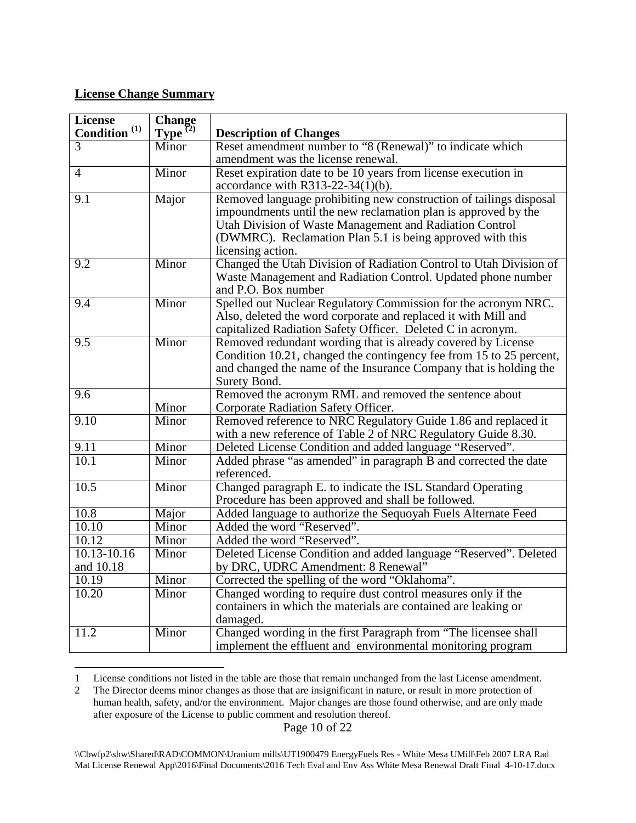### **License Change Summary**

 $\overline{a}$ 

| <b>License</b>           | <b>Change</b>           |                                                                     |
|--------------------------|-------------------------|---------------------------------------------------------------------|
| Condition <sup>(1)</sup> | $Type^{\overline{(2)}}$ | <b>Description of Changes</b>                                       |
| $\overline{3}$           | Minor                   | Reset amendment number to "8 (Renewal)" to indicate which           |
|                          |                         | amendment was the license renewal.                                  |
| 4                        | Minor                   | Reset expiration date to be 10 years from license execution in      |
|                          |                         | accordance with R313-22-34(1)(b).                                   |
| $\overline{9.1}$         | Major                   | Removed language prohibiting new construction of tailings disposal  |
|                          |                         | impoundments until the new reclamation plan is approved by the      |
|                          |                         | Utah Division of Waste Management and Radiation Control             |
|                          |                         | (DWMRC). Reclamation Plan 5.1 is being approved with this           |
|                          |                         | licensing action.                                                   |
| $\overline{9.2}$         | Minor                   | Changed the Utah Division of Radiation Control to Utah Division of  |
|                          |                         | Waste Management and Radiation Control. Updated phone number        |
|                          |                         | and P.O. Box number                                                 |
| 9.4                      | Minor                   | Spelled out Nuclear Regulatory Commission for the acronym NRC.      |
|                          |                         | Also, deleted the word corporate and replaced it with Mill and      |
|                          |                         | capitalized Radiation Safety Officer. Deleted C in acronym.         |
| 9.5                      | Minor                   | Removed redundant wording that is already covered by License        |
|                          |                         | Condition 10.21, changed the contingency fee from 15 to 25 percent, |
|                          |                         | and changed the name of the Insurance Company that is holding the   |
|                          |                         | Surety Bond.                                                        |
| 9.6                      |                         | Removed the acronym RML and removed the sentence about              |
|                          | Minor                   | Corporate Radiation Safety Officer.                                 |
| 9.10                     | Minor                   | Removed reference to NRC Regulatory Guide 1.86 and replaced it      |
|                          |                         | with a new reference of Table 2 of NRC Regulatory Guide 8.30.       |
| 9.11                     | Minor                   | Deleted License Condition and added language "Reserved".            |
| 10.1                     | Minor                   | Added phrase "as amended" in paragraph B and corrected the date     |
|                          |                         | referenced.                                                         |
| 10.5                     | Minor                   | Changed paragraph E. to indicate the ISL Standard Operating         |
|                          |                         | Procedure has been approved and shall be followed.                  |
| 10.8                     | Major                   | Added language to authorize the Sequoyah Fuels Alternate Feed       |
| 10.10                    | Minor                   | Added the word "Reserved".                                          |
| 10.12                    | Minor                   | Added the word "Reserved".                                          |
| $10.13 - 10.16$          | Minor                   | Deleted License Condition and added language "Reserved". Deleted    |
| and 10.18                |                         | by DRC, UDRC Amendment: 8 Renewal"                                  |
| 10.19                    | Minor                   | Corrected the spelling of the word "Oklahoma".                      |
| 10.20                    | Minor                   | Changed wording to require dust control measures only if the        |
|                          |                         | containers in which the materials are contained are leaking or      |
|                          |                         | damaged.                                                            |
| 11.2                     | Minor                   | Changed wording in the first Paragraph from "The licensee shall     |
|                          |                         | implement the effluent and environmental monitoring program         |

<span id="page-9-0"></span><sup>1</sup> License conditions not listed in the table are those that remain unchanged from the last License amendment.

Page 10 of 22

<span id="page-9-1"></span><sup>2</sup> The Director deems minor changes as those that are insignificant in nature, or result in more protection of human health, safety, and/or the environment. Major changes are those found otherwise, and are only made after exposure of the License to public comment and resolution thereof.

<sup>\\</sup>Cbwfp2\shw\Shared\RAD\COMMON\Uranium mills\UT1900479 EnergyFuels Res - White Mesa UMill\Feb 2007 LRA Rad Mat License Renewal App\2016\Final Documents\2016 Tech Eval and Env Ass White Mesa Renewal Draft Final 4-10-17.docx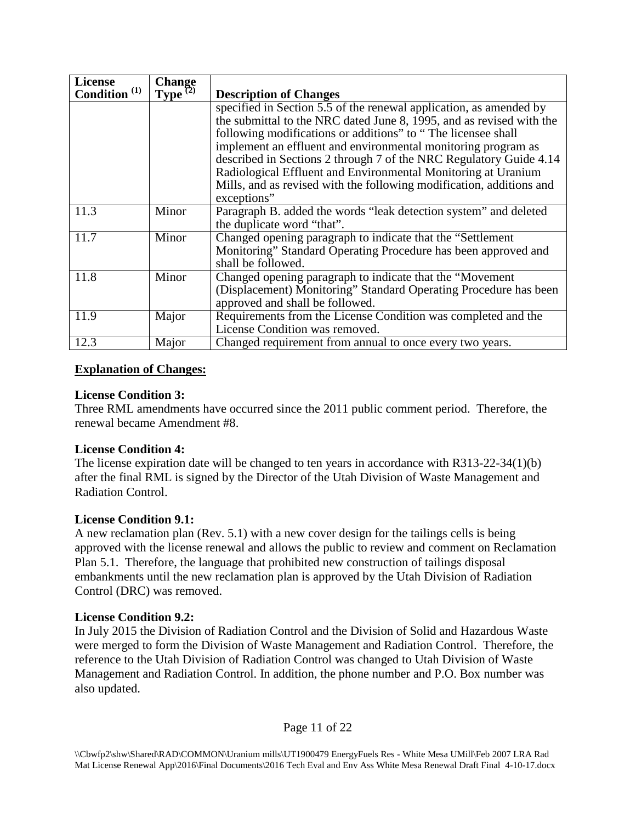| <b>License</b>           | Change<br>Type $(2)$ |                                                                      |
|--------------------------|----------------------|----------------------------------------------------------------------|
| Condition <sup>(1)</sup> |                      | <b>Description of Changes</b>                                        |
|                          |                      | specified in Section 5.5 of the renewal application, as amended by   |
|                          |                      | the submittal to the NRC dated June 8, 1995, and as revised with the |
|                          |                      | following modifications or additions" to "The licensee shall         |
|                          |                      | implement an effluent and environmental monitoring program as        |
|                          |                      | described in Sections 2 through 7 of the NRC Regulatory Guide 4.14   |
|                          |                      | Radiological Effluent and Environmental Monitoring at Uranium        |
|                          |                      | Mills, and as revised with the following modification, additions and |
|                          |                      | exceptions"                                                          |
| 11.3                     | Minor                | Paragraph B. added the words "leak detection system" and deleted     |
|                          |                      | the duplicate word "that".                                           |
| 11.7                     | Minor                | Changed opening paragraph to indicate that the "Settlement"          |
|                          |                      | Monitoring" Standard Operating Procedure has been approved and       |
|                          |                      | shall be followed.                                                   |
| 11.8                     | Minor                | Changed opening paragraph to indicate that the "Movement"            |
|                          |                      | (Displacement) Monitoring" Standard Operating Procedure has been     |
|                          |                      | approved and shall be followed.                                      |
| 11.9                     | Major                | Requirements from the License Condition was completed and the        |
|                          |                      | License Condition was removed.                                       |
| 12.3                     | Major                | Changed requirement from annual to once every two years.             |

### **Explanation of Changes:**

### **License Condition 3:**

Three RML amendments have occurred since the 2011 public comment period. Therefore, the renewal became Amendment #8.

### **License Condition 4:**

The license expiration date will be changed to ten years in accordance with R313-22-34(1)(b) after the final RML is signed by the Director of the Utah Division of Waste Management and Radiation Control.

# **License Condition 9.1:**

A new reclamation plan (Rev. 5.1) with a new cover design for the tailings cells is being approved with the license renewal and allows the public to review and comment on Reclamation Plan 5.1. Therefore, the language that prohibited new construction of tailings disposal embankments until the new reclamation plan is approved by the Utah Division of Radiation Control (DRC) was removed.

### **License Condition 9.2:**

In July 2015 the Division of Radiation Control and the Division of Solid and Hazardous Waste were merged to form the Division of Waste Management and Radiation Control. Therefore, the reference to the Utah Division of Radiation Control was changed to Utah Division of Waste Management and Radiation Control. In addition, the phone number and P.O. Box number was also updated.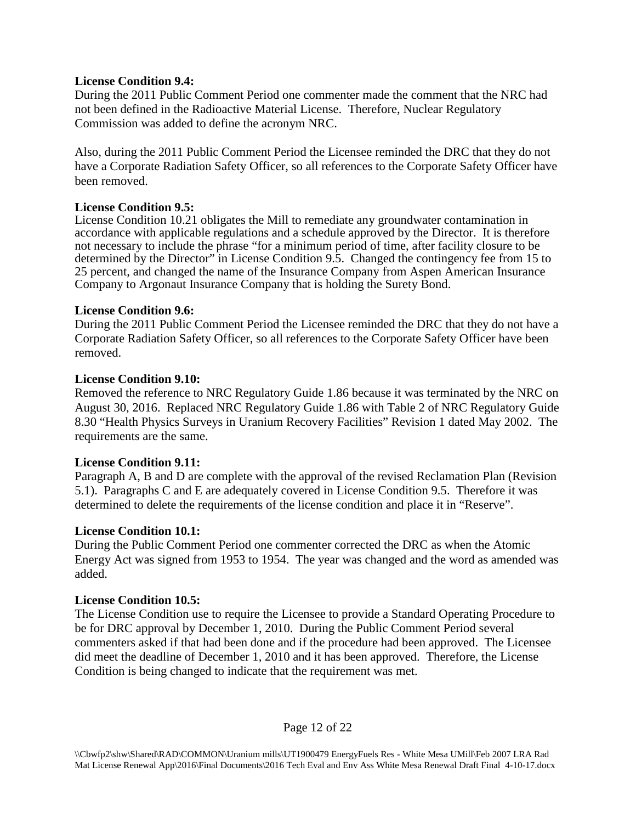### **License Condition 9.4:**

During the 2011 Public Comment Period one commenter made the comment that the NRC had not been defined in the Radioactive Material License. Therefore, Nuclear Regulatory Commission was added to define the acronym NRC.

Also, during the 2011 Public Comment Period the Licensee reminded the DRC that they do not have a Corporate Radiation Safety Officer, so all references to the Corporate Safety Officer have been removed.

#### **License Condition 9.5:**

License Condition 10.21 obligates the Mill to remediate any groundwater contamination in accordance with applicable regulations and a schedule approved by the Director. It is therefore not necessary to include the phrase "for a minimum period of time, after facility closure to be determined by the Director" in License Condition 9.5. Changed the contingency fee from 15 to 25 percent, and changed the name of the Insurance Company from Aspen American Insurance Company to Argonaut Insurance Company that is holding the Surety Bond.

#### **License Condition 9.6:**

During the 2011 Public Comment Period the Licensee reminded the DRC that they do not have a Corporate Radiation Safety Officer, so all references to the Corporate Safety Officer have been removed.

#### **License Condition 9.10:**

Removed the reference to NRC Regulatory Guide 1.86 because it was terminated by the NRC on August 30, 2016. Replaced NRC Regulatory Guide 1.86 with Table 2 of NRC Regulatory Guide 8.30 "Health Physics Surveys in Uranium Recovery Facilities" Revision 1 dated May 2002. The requirements are the same.

### **License Condition 9.11:**

Paragraph A, B and D are complete with the approval of the revised Reclamation Plan (Revision 5.1). Paragraphs C and E are adequately covered in License Condition 9.5. Therefore it was determined to delete the requirements of the license condition and place it in "Reserve".

### **License Condition 10.1:**

During the Public Comment Period one commenter corrected the DRC as when the Atomic Energy Act was signed from 1953 to 1954. The year was changed and the word as amended was added.

### **License Condition 10.5:**

The License Condition use to require the Licensee to provide a Standard Operating Procedure to be for DRC approval by December 1, 2010. During the Public Comment Period several commenters asked if that had been done and if the procedure had been approved. The Licensee did meet the deadline of December 1, 2010 and it has been approved. Therefore, the License Condition is being changed to indicate that the requirement was met.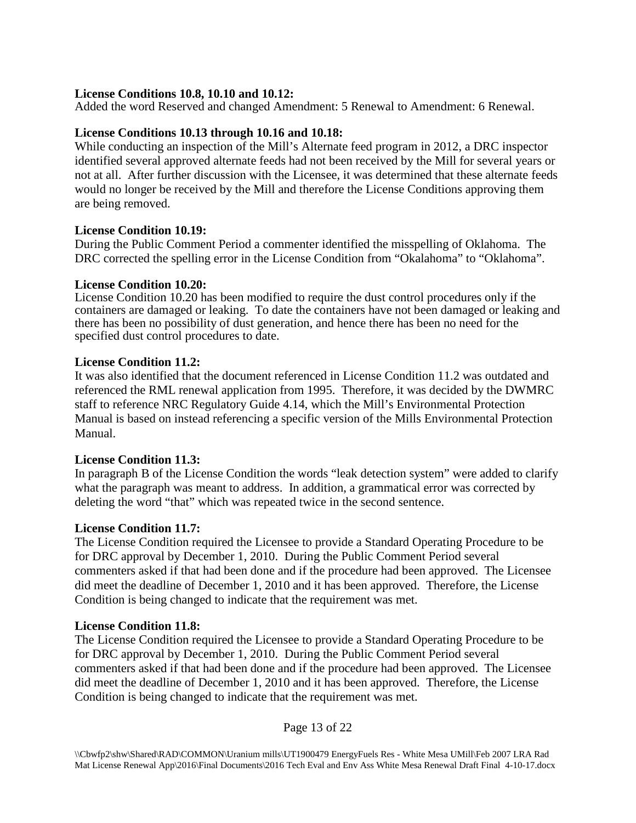### **License Conditions 10.8, 10.10 and 10.12:**

Added the word Reserved and changed Amendment: 5 Renewal to Amendment: 6 Renewal.

### **License Conditions 10.13 through 10.16 and 10.18:**

While conducting an inspection of the Mill's Alternate feed program in 2012, a DRC inspector identified several approved alternate feeds had not been received by the Mill for several years or not at all. After further discussion with the Licensee, it was determined that these alternate feeds would no longer be received by the Mill and therefore the License Conditions approving them are being removed.

### **License Condition 10.19:**

During the Public Comment Period a commenter identified the misspelling of Oklahoma. The DRC corrected the spelling error in the License Condition from "Okalahoma" to "Oklahoma".

#### **License Condition 10.20:**

License Condition 10.20 has been modified to require the dust control procedures only if the containers are damaged or leaking. To date the containers have not been damaged or leaking and there has been no possibility of dust generation, and hence there has been no need for the specified dust control procedures to date.

### **License Condition 11.2:**

It was also identified that the document referenced in License Condition 11.2 was outdated and referenced the RML renewal application from 1995. Therefore, it was decided by the DWMRC staff to reference NRC Regulatory Guide 4.14, which the Mill's Environmental Protection Manual is based on instead referencing a specific version of the Mills Environmental Protection Manual.

### **License Condition 11.3:**

In paragraph B of the License Condition the words "leak detection system" were added to clarify what the paragraph was meant to address. In addition, a grammatical error was corrected by deleting the word "that" which was repeated twice in the second sentence.

### **License Condition 11.7:**

The License Condition required the Licensee to provide a Standard Operating Procedure to be for DRC approval by December 1, 2010. During the Public Comment Period several commenters asked if that had been done and if the procedure had been approved. The Licensee did meet the deadline of December 1, 2010 and it has been approved. Therefore, the License Condition is being changed to indicate that the requirement was met.

### **License Condition 11.8:**

The License Condition required the Licensee to provide a Standard Operating Procedure to be for DRC approval by December 1, 2010. During the Public Comment Period several commenters asked if that had been done and if the procedure had been approved. The Licensee did meet the deadline of December 1, 2010 and it has been approved. Therefore, the License Condition is being changed to indicate that the requirement was met.

### Page 13 of 22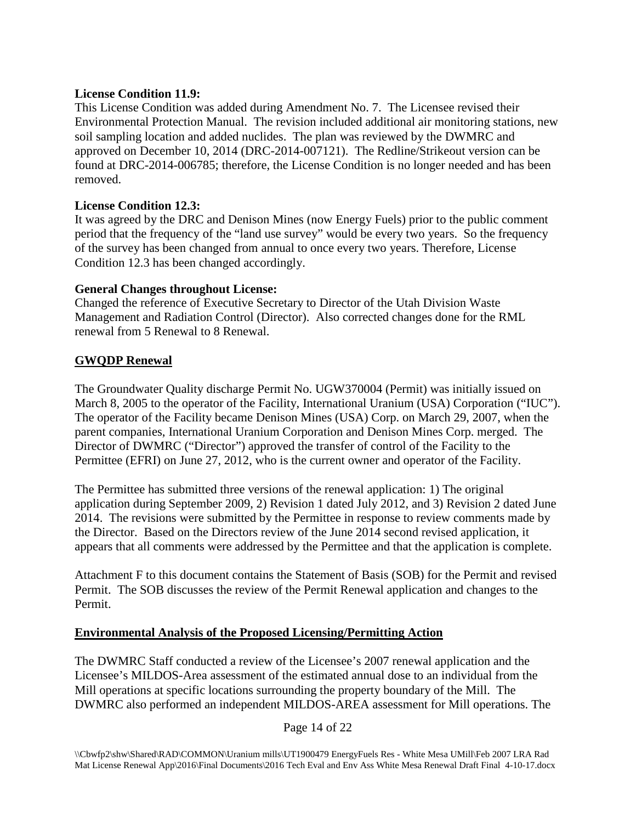### **License Condition 11.9:**

This License Condition was added during Amendment No. 7. The Licensee revised their Environmental Protection Manual. The revision included additional air monitoring stations, new soil sampling location and added nuclides. The plan was reviewed by the DWMRC and approved on December 10, 2014 (DRC-2014-007121). The Redline/Strikeout version can be found at DRC-2014-006785; therefore, the License Condition is no longer needed and has been removed.

# **License Condition 12.3:**

It was agreed by the DRC and Denison Mines (now Energy Fuels) prior to the public comment period that the frequency of the "land use survey" would be every two years. So the frequency of the survey has been changed from annual to once every two years. Therefore, License Condition 12.3 has been changed accordingly.

# **General Changes throughout License:**

Changed the reference of Executive Secretary to Director of the Utah Division Waste Management and Radiation Control (Director). Also corrected changes done for the RML renewal from 5 Renewal to 8 Renewal.

# **GWQDP Renewal**

The Groundwater Quality discharge Permit No. UGW370004 (Permit) was initially issued on March 8, 2005 to the operator of the Facility, International Uranium (USA) Corporation ("IUC"). The operator of the Facility became Denison Mines (USA) Corp. on March 29, 2007, when the parent companies, International Uranium Corporation and Denison Mines Corp. merged. The Director of DWMRC ("Director") approved the transfer of control of the Facility to the Permittee (EFRI) on June 27, 2012, who is the current owner and operator of the Facility.

The Permittee has submitted three versions of the renewal application: 1) The original application during September 2009, 2) Revision 1 dated July 2012, and 3) Revision 2 dated June 2014. The revisions were submitted by the Permittee in response to review comments made by the Director. Based on the Directors review of the June 2014 second revised application, it appears that all comments were addressed by the Permittee and that the application is complete.

Attachment F to this document contains the Statement of Basis (SOB) for the Permit and revised Permit. The SOB discusses the review of the Permit Renewal application and changes to the Permit.

# **Environmental Analysis of the Proposed Licensing/Permitting Action**

The DWMRC Staff conducted a review of the Licensee's 2007 renewal application and the Licensee's MILDOS-Area assessment of the estimated annual dose to an individual from the Mill operations at specific locations surrounding the property boundary of the Mill. The DWMRC also performed an independent MILDOS-AREA assessment for Mill operations. The

### Page 14 of 22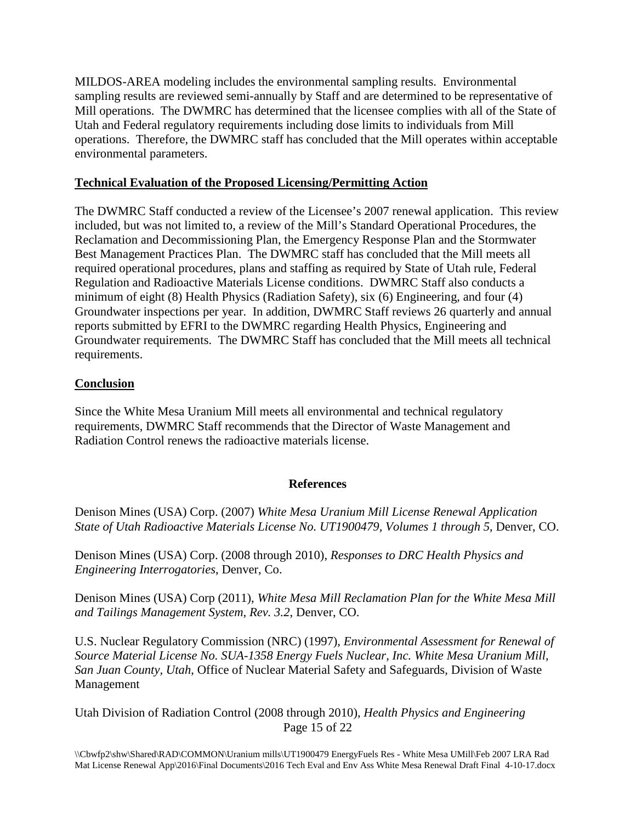MILDOS-AREA modeling includes the environmental sampling results. Environmental sampling results are reviewed semi-annually by Staff and are determined to be representative of Mill operations. The DWMRC has determined that the licensee complies with all of the State of Utah and Federal regulatory requirements including dose limits to individuals from Mill operations. Therefore, the DWMRC staff has concluded that the Mill operates within acceptable environmental parameters.

### **Technical Evaluation of the Proposed Licensing/Permitting Action**

The DWMRC Staff conducted a review of the Licensee's 2007 renewal application. This review included, but was not limited to, a review of the Mill's Standard Operational Procedures, the Reclamation and Decommissioning Plan, the Emergency Response Plan and the Stormwater Best Management Practices Plan. The DWMRC staff has concluded that the Mill meets all required operational procedures, plans and staffing as required by State of Utah rule, Federal Regulation and Radioactive Materials License conditions. DWMRC Staff also conducts a minimum of eight (8) Health Physics (Radiation Safety), six (6) Engineering, and four (4) Groundwater inspections per year. In addition, DWMRC Staff reviews 26 quarterly and annual reports submitted by EFRI to the DWMRC regarding Health Physics, Engineering and Groundwater requirements. The DWMRC Staff has concluded that the Mill meets all technical requirements.

### **Conclusion**

Since the White Mesa Uranium Mill meets all environmental and technical regulatory requirements, DWMRC Staff recommends that the Director of Waste Management and Radiation Control renews the radioactive materials license.

### **References**

Denison Mines (USA) Corp. (2007) *White Mesa Uranium Mill License Renewal Application State of Utah Radioactive Materials License No. UT1900479, Volumes 1 through 5*, Denver, CO.

Denison Mines (USA) Corp. (2008 through 2010), *Responses to DRC Health Physics and Engineering Interrogatories*, Denver, Co.

Denison Mines (USA) Corp (2011), *White Mesa Mill Reclamation Plan for the White Mesa Mill and Tailings Management System, Rev. 3.2*, Denver, CO.

U.S. Nuclear Regulatory Commission (NRC) (1997), *Environmental Assessment for Renewal of Source Material License No. SUA-1358 Energy Fuels Nuclear, Inc. White Mesa Uranium Mill, San Juan County, Utah*, Office of Nuclear Material Safety and Safeguards, Division of Waste Management

Page 15 of 22 Utah Division of Radiation Control (2008 through 2010), *Health Physics and Engineering*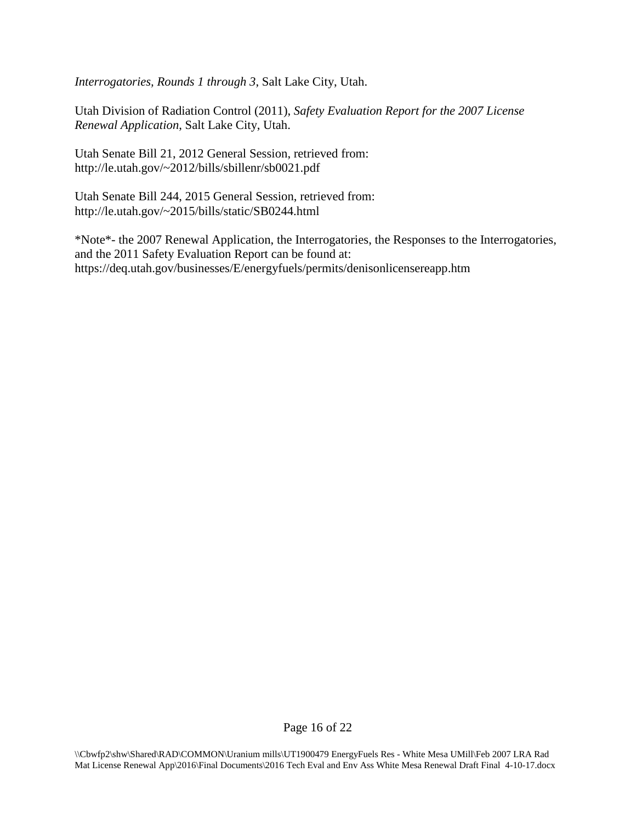*Interrogatories, Rounds 1 through 3*, Salt Lake City, Utah.

Utah Division of Radiation Control (2011), *Safety Evaluation Report for the 2007 License Renewal Application*, Salt Lake City, Utah.

Utah Senate Bill 21, 2012 General Session, retrieved from: http://le.utah.gov/~2012/bills/sbillenr/sb0021.pdf

Utah Senate Bill 244, 2015 General Session, retrieved from: http://le.utah.gov/~2015/bills/static/SB0244.html

\*Note\*- the 2007 Renewal Application, the Interrogatories, the Responses to the Interrogatories, and the 2011 Safety Evaluation Report can be found at: https://deq.utah.gov/businesses/E/energyfuels/permits/denisonlicensereapp.htm

Page 16 of 22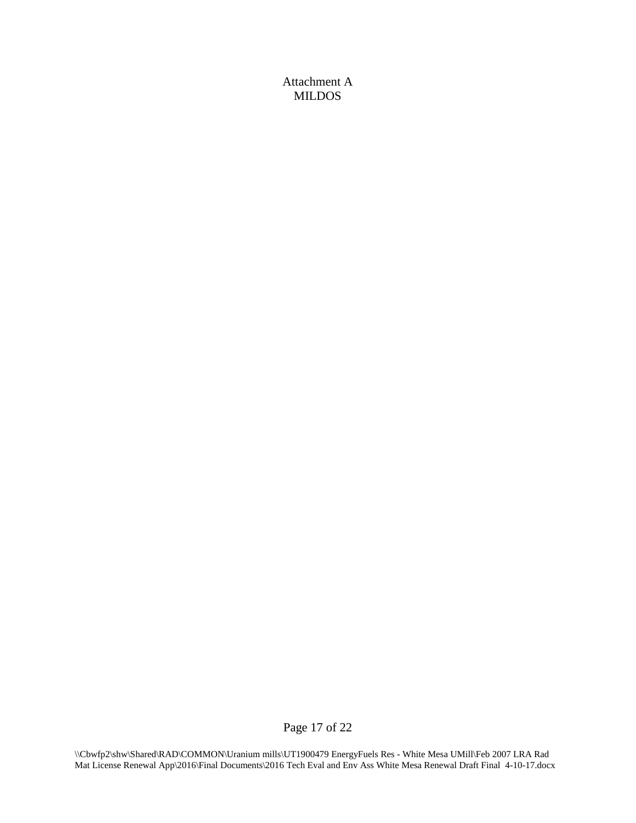Attachment A MILDOS

Page 17 of 22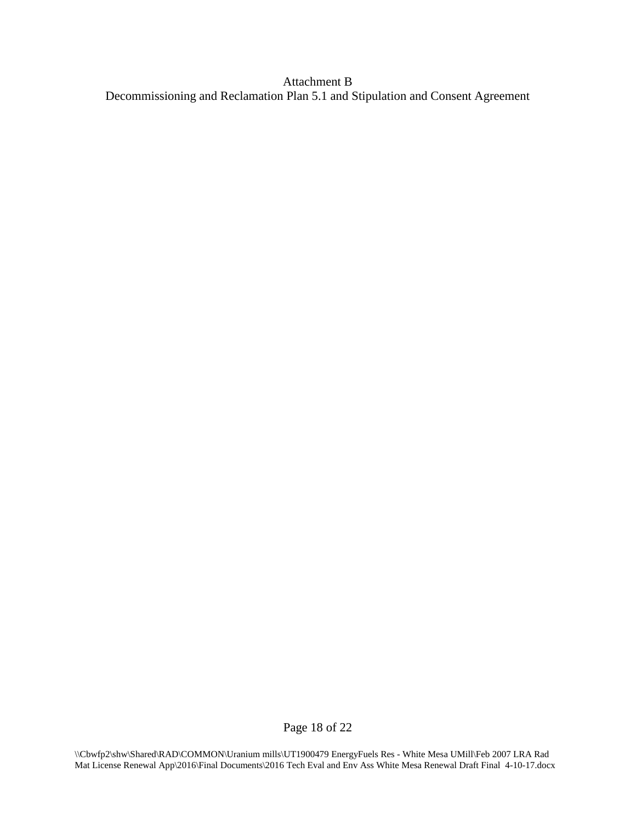Attachment B Decommissioning and Reclamation Plan 5.1 and Stipulation and Consent Agreement

Page 18 of 22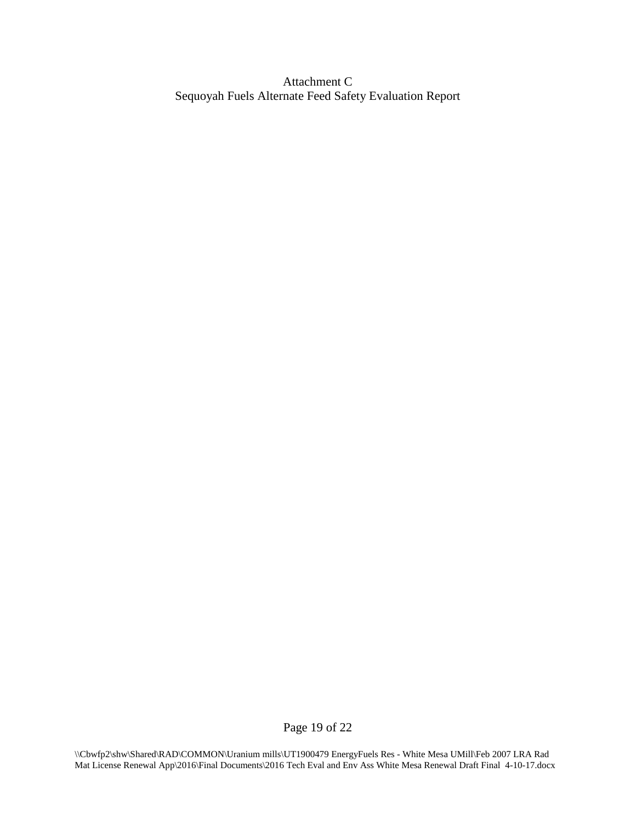Attachment C Sequoyah Fuels Alternate Feed Safety Evaluation Report

Page 19 of 22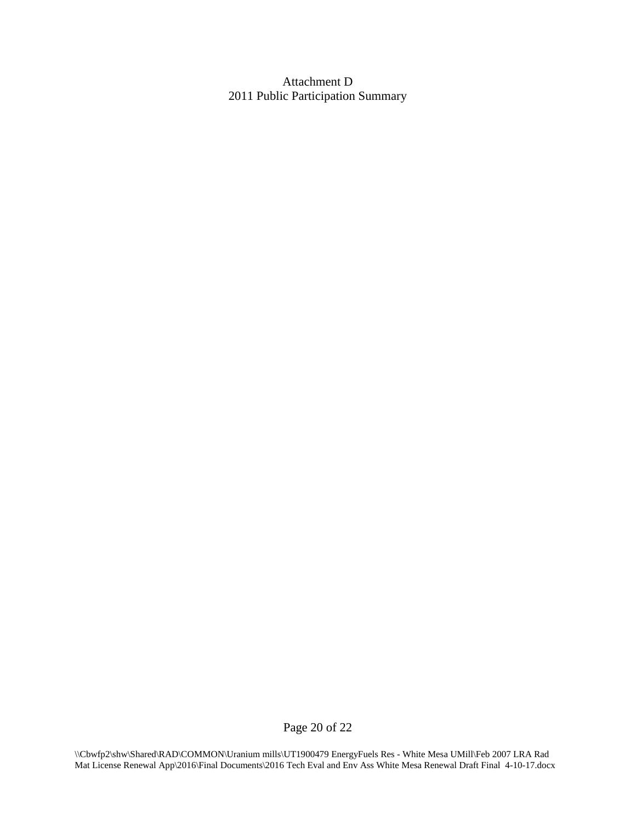Attachment D 2011 Public Participation Summary

Page 20 of 22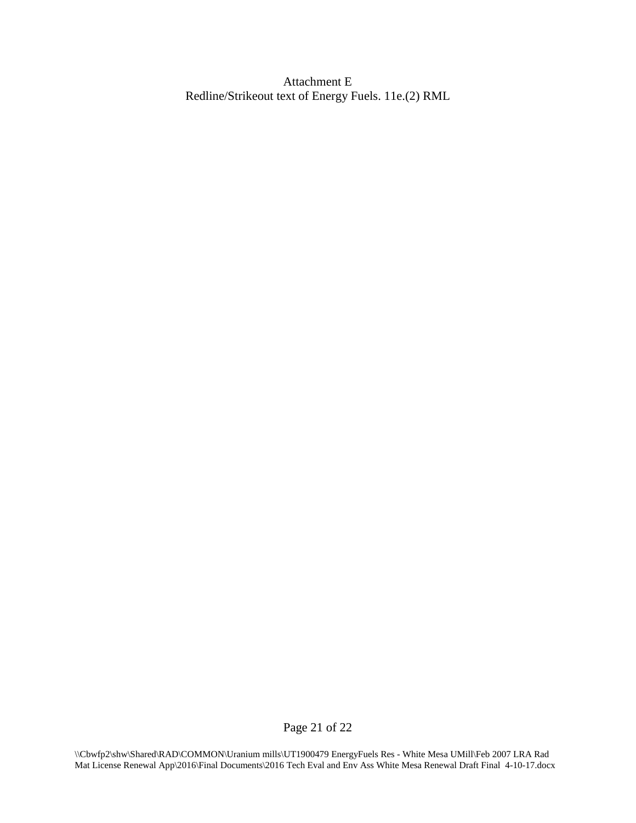Attachment E Redline/Strikeout text of Energy Fuels. 11e.(2) RML

Page 21 of 22